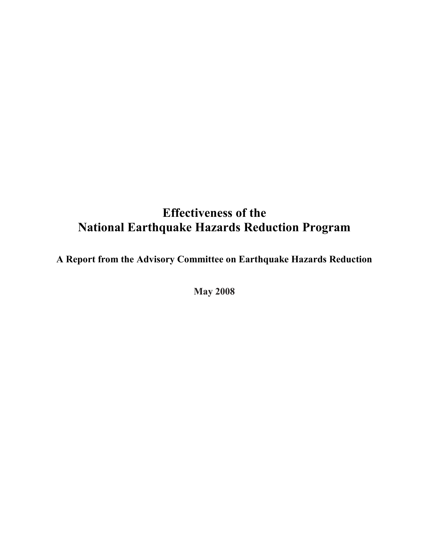# Effectiveness of the National Earthquake Hazards Reduction Program

A Report from the Advisory Committee on Earthquake Hazards Reduction

May 2008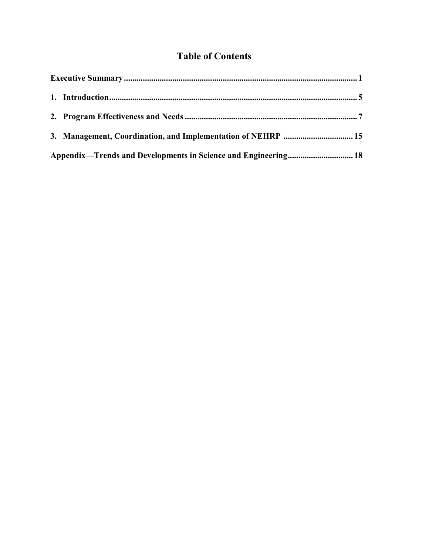## Table of Contents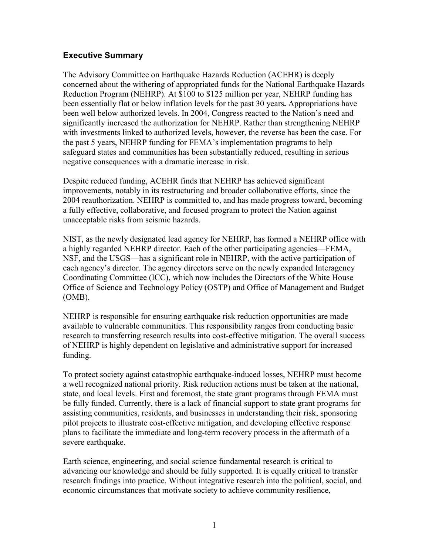## Executive Summary

The Advisory Committee on Earthquake Hazards Reduction (ACEHR) is deeply concerned about the withering of appropriated funds for the National Earthquake Hazards Reduction Program (NEHRP). At \$100 to \$125 million per year, NEHRP funding has been essentially flat or below inflation levels for the past 30 years. Appropriations have been well below authorized levels. In 2004, Congress reacted to the Nation's need and significantly increased the authorization for NEHRP. Rather than strengthening NEHRP with investments linked to authorized levels, however, the reverse has been the case. For the past 5 years, NEHRP funding for FEMA's implementation programs to help safeguard states and communities has been substantially reduced, resulting in serious negative consequences with a dramatic increase in risk.

Despite reduced funding, ACEHR finds that NEHRP has achieved significant improvements, notably in its restructuring and broader collaborative efforts, since the 2004 reauthorization. NEHRP is committed to, and has made progress toward, becoming a fully effective, collaborative, and focused program to protect the Nation against unacceptable risks from seismic hazards.

NIST, as the newly designated lead agency for NEHRP, has formed a NEHRP office with a highly regarded NEHRP director. Each of the other participating agencies—FEMA, NSF, and the USGS—has a significant role in NEHRP, with the active participation of each agency's director. The agency directors serve on the newly expanded Interagency Coordinating Committee (ICC), which now includes the Directors of the White House Office of Science and Technology Policy (OSTP) and Office of Management and Budget (OMB).

NEHRP is responsible for ensuring earthquake risk reduction opportunities are made available to vulnerable communities. This responsibility ranges from conducting basic research to transferring research results into cost-effective mitigation. The overall success of NEHRP is highly dependent on legislative and administrative support for increased funding.

To protect society against catastrophic earthquake-induced losses, NEHRP must become a well recognized national priority. Risk reduction actions must be taken at the national, state, and local levels. First and foremost, the state grant programs through FEMA must be fully funded. Currently, there is a lack of financial support to state grant programs for assisting communities, residents, and businesses in understanding their risk, sponsoring pilot projects to illustrate cost-effective mitigation, and developing effective response plans to facilitate the immediate and long-term recovery process in the aftermath of a severe earthquake.

Earth science, engineering, and social science fundamental research is critical to advancing our knowledge and should be fully supported. It is equally critical to transfer research findings into practice. Without integrative research into the political, social, and economic circumstances that motivate society to achieve community resilience,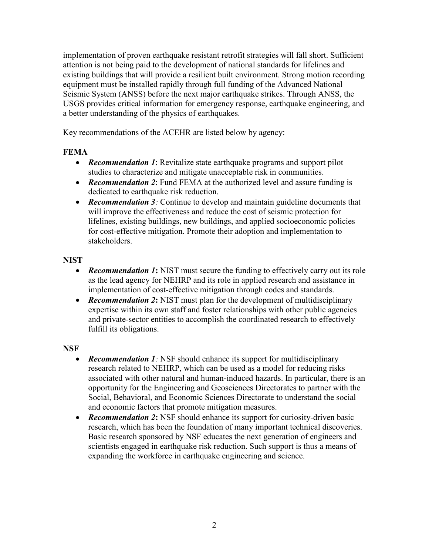implementation of proven earthquake resistant retrofit strategies will fall short. Sufficient attention is not being paid to the development of national standards for lifelines and existing buildings that will provide a resilient built environment. Strong motion recording equipment must be installed rapidly through full funding of the Advanced National Seismic System (ANSS) before the next major earthquake strikes. Through ANSS, the USGS provides critical information for emergency response, earthquake engineering, and a better understanding of the physics of earthquakes.

Key recommendations of the ACEHR are listed below by agency:

## FEMA

- Recommendation 1: Revitalize state earthquake programs and support pilot studies to characterize and mitigate unacceptable risk in communities.
- Recommendation 2: Fund FEMA at the authorized level and assure funding is dedicated to earthquake risk reduction.
- Recommendation 3: Continue to develop and maintain guideline documents that will improve the effectiveness and reduce the cost of seismic protection for lifelines, existing buildings, new buildings, and applied socioeconomic policies for cost-effective mitigation. Promote their adoption and implementation to stakeholders.

## NIST

- Recommendation 1: NIST must secure the funding to effectively carry out its role as the lead agency for NEHRP and its role in applied research and assistance in implementation of cost-effective mitigation through codes and standards.
- Recommendation 2: NIST must plan for the development of multidisciplinary expertise within its own staff and foster relationships with other public agencies and private-sector entities to accomplish the coordinated research to effectively fulfill its obligations.

## **NSF**

- **Recommendation 1**: NSF should enhance its support for multidisciplinary research related to NEHRP, which can be used as a model for reducing risks associated with other natural and human-induced hazards. In particular, there is an opportunity for the Engineering and Geosciences Directorates to partner with the Social, Behavioral, and Economic Sciences Directorate to understand the social and economic factors that promote mitigation measures.
- Recommendation 2: NSF should enhance its support for curiosity-driven basic research, which has been the foundation of many important technical discoveries. Basic research sponsored by NSF educates the next generation of engineers and scientists engaged in earthquake risk reduction. Such support is thus a means of expanding the workforce in earthquake engineering and science.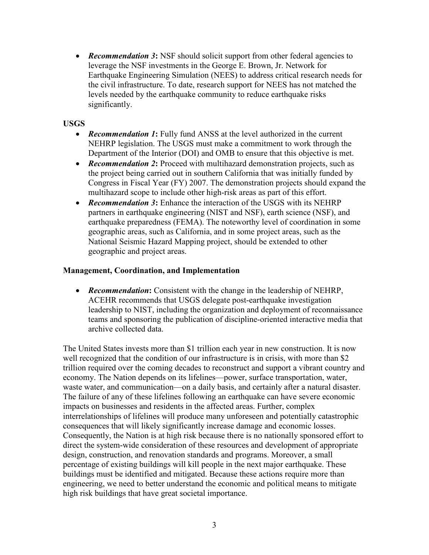• **Recommendation 3:** NSF should solicit support from other federal agencies to leverage the NSF investments in the George E. Brown, Jr. Network for Earthquake Engineering Simulation (NEES) to address critical research needs for the civil infrastructure. To date, research support for NEES has not matched the levels needed by the earthquake community to reduce earthquake risks significantly.

## USGS

- **Recommendation 1:** Fully fund ANSS at the level authorized in the current NEHRP legislation. The USGS must make a commitment to work through the Department of the Interior (DOI) and OMB to ensure that this objective is met.
- Recommendation 2: Proceed with multihazard demonstration projects, such as the project being carried out in southern California that was initially funded by Congress in Fiscal Year (FY) 2007. The demonstration projects should expand the multihazard scope to include other high-risk areas as part of this effort.
- Recommendation 3: Enhance the interaction of the USGS with its NEHRP partners in earthquake engineering (NIST and NSF), earth science (NSF), and earthquake preparedness (FEMA). The noteworthy level of coordination in some geographic areas, such as California, and in some project areas, such as the National Seismic Hazard Mapping project, should be extended to other geographic and project areas.

## Management, Coordination, and Implementation

• **Recommendation:** Consistent with the change in the leadership of NEHRP, ACEHR recommends that USGS delegate post-earthquake investigation leadership to NIST, including the organization and deployment of reconnaissance teams and sponsoring the publication of discipline-oriented interactive media that archive collected data.

The United States invests more than \$1 trillion each year in new construction. It is now well recognized that the condition of our infrastructure is in crisis, with more than \$2 trillion required over the coming decades to reconstruct and support a vibrant country and economy. The Nation depends on its lifelines—power, surface transportation, water, waste water, and communication—on a daily basis, and certainly after a natural disaster. The failure of any of these lifelines following an earthquake can have severe economic impacts on businesses and residents in the affected areas. Further, complex interrelationships of lifelines will produce many unforeseen and potentially catastrophic consequences that will likely significantly increase damage and economic losses. Consequently, the Nation is at high risk because there is no nationally sponsored effort to direct the system-wide consideration of these resources and development of appropriate design, construction, and renovation standards and programs. Moreover, a small percentage of existing buildings will kill people in the next major earthquake. These buildings must be identified and mitigated. Because these actions require more than engineering, we need to better understand the economic and political means to mitigate high risk buildings that have great societal importance.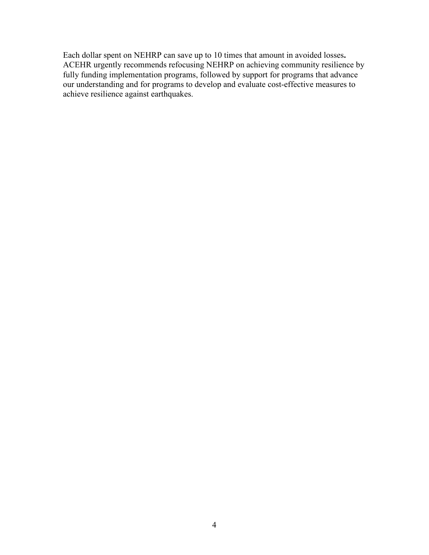Each dollar spent on NEHRP can save up to 10 times that amount in avoided losses. ACEHR urgently recommends refocusing NEHRP on achieving community resilience by fully funding implementation programs, followed by support for programs that advance our understanding and for programs to develop and evaluate cost-effective measures to achieve resilience against earthquakes.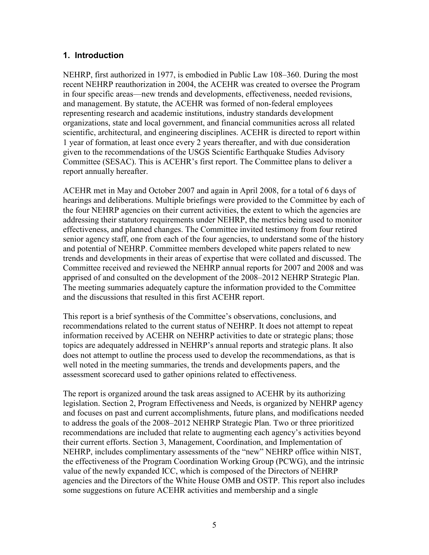## 1. Introduction

NEHRP, first authorized in 1977, is embodied in Public Law 108–360. During the most recent NEHRP reauthorization in 2004, the ACEHR was created to oversee the Program in four specific areas—new trends and developments, effectiveness, needed revisions, and management. By statute, the ACEHR was formed of non-federal employees representing research and academic institutions, industry standards development organizations, state and local government, and financial communities across all related scientific, architectural, and engineering disciplines. ACEHR is directed to report within 1 year of formation, at least once every 2 years thereafter, and with due consideration given to the recommendations of the USGS Scientific Earthquake Studies Advisory Committee (SESAC). This is ACEHR's first report. The Committee plans to deliver a report annually hereafter.

ACEHR met in May and October 2007 and again in April 2008, for a total of 6 days of hearings and deliberations. Multiple briefings were provided to the Committee by each of the four NEHRP agencies on their current activities, the extent to which the agencies are addressing their statutory requirements under NEHRP, the metrics being used to monitor effectiveness, and planned changes. The Committee invited testimony from four retired senior agency staff, one from each of the four agencies, to understand some of the history and potential of NEHRP. Committee members developed white papers related to new trends and developments in their areas of expertise that were collated and discussed. The Committee received and reviewed the NEHRP annual reports for 2007 and 2008 and was apprised of and consulted on the development of the 2008–2012 NEHRP Strategic Plan. The meeting summaries adequately capture the information provided to the Committee and the discussions that resulted in this first ACEHR report.

This report is a brief synthesis of the Committee's observations, conclusions, and recommendations related to the current status of NEHRP. It does not attempt to repeat information received by ACEHR on NEHRP activities to date or strategic plans; those topics are adequately addressed in NEHRP's annual reports and strategic plans. It also does not attempt to outline the process used to develop the recommendations, as that is well noted in the meeting summaries, the trends and developments papers, and the assessment scorecard used to gather opinions related to effectiveness.

The report is organized around the task areas assigned to ACEHR by its authorizing legislation. Section 2, Program Effectiveness and Needs, is organized by NEHRP agency and focuses on past and current accomplishments, future plans, and modifications needed to address the goals of the 2008–2012 NEHRP Strategic Plan. Two or three prioritized recommendations are included that relate to augmenting each agency's activities beyond their current efforts. Section 3, Management, Coordination, and Implementation of NEHRP, includes complimentary assessments of the "new" NEHRP office within NIST, the effectiveness of the Program Coordination Working Group (PCWG), and the intrinsic value of the newly expanded ICC, which is composed of the Directors of NEHRP agencies and the Directors of the White House OMB and OSTP. This report also includes some suggestions on future ACEHR activities and membership and a single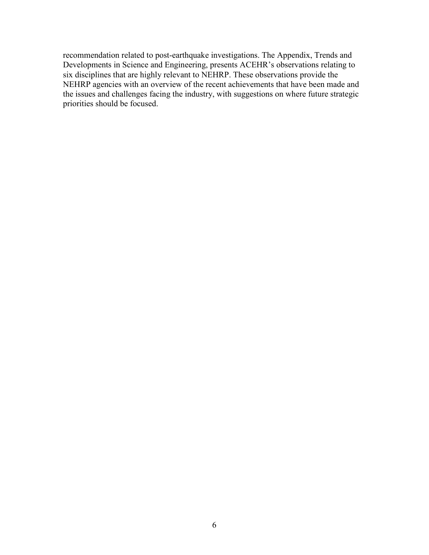recommendation related to post-earthquake investigations. The Appendix, Trends and Developments in Science and Engineering, presents ACEHR's observations relating to six disciplines that are highly relevant to NEHRP. These observations provide the NEHRP agencies with an overview of the recent achievements that have been made and the issues and challenges facing the industry, with suggestions on where future strategic priorities should be focused.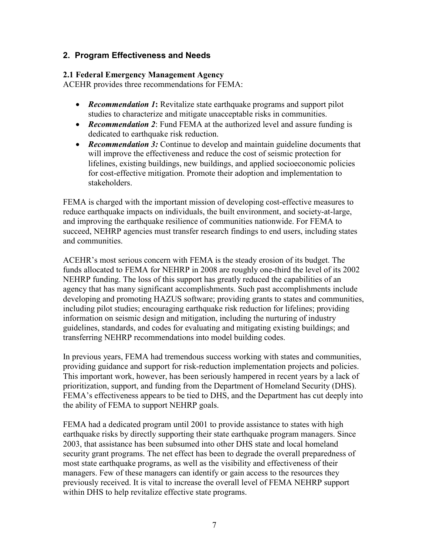## 2. Program Effectiveness and Needs

#### 2.1 Federal Emergency Management Agency

ACEHR provides three recommendations for FEMA:

- **Recommendation 1:** Revitalize state earthquake programs and support pilot studies to characterize and mitigate unacceptable risks in communities.
- **Recommendation 2**: Fund FEMA at the authorized level and assure funding is dedicated to earthquake risk reduction.
- Recommendation 3: Continue to develop and maintain guideline documents that will improve the effectiveness and reduce the cost of seismic protection for lifelines, existing buildings, new buildings, and applied socioeconomic policies for cost-effective mitigation. Promote their adoption and implementation to stakeholders.

FEMA is charged with the important mission of developing cost-effective measures to reduce earthquake impacts on individuals, the built environment, and society-at-large, and improving the earthquake resilience of communities nationwide. For FEMA to succeed, NEHRP agencies must transfer research findings to end users, including states and communities.

ACEHR's most serious concern with FEMA is the steady erosion of its budget. The funds allocated to FEMA for NEHRP in 2008 are roughly one-third the level of its 2002 NEHRP funding. The loss of this support has greatly reduced the capabilities of an agency that has many significant accomplishments. Such past accomplishments include developing and promoting HAZUS software; providing grants to states and communities, including pilot studies; encouraging earthquake risk reduction for lifelines; providing information on seismic design and mitigation, including the nurturing of industry guidelines, standards, and codes for evaluating and mitigating existing buildings; and transferring NEHRP recommendations into model building codes.

In previous years, FEMA had tremendous success working with states and communities, providing guidance and support for risk-reduction implementation projects and policies. This important work, however, has been seriously hampered in recent years by a lack of prioritization, support, and funding from the Department of Homeland Security (DHS). FEMA's effectiveness appears to be tied to DHS, and the Department has cut deeply into the ability of FEMA to support NEHRP goals.

FEMA had a dedicated program until 2001 to provide assistance to states with high earthquake risks by directly supporting their state earthquake program managers. Since 2003, that assistance has been subsumed into other DHS state and local homeland security grant programs. The net effect has been to degrade the overall preparedness of most state earthquake programs, as well as the visibility and effectiveness of their managers. Few of these managers can identify or gain access to the resources they previously received. It is vital to increase the overall level of FEMA NEHRP support within DHS to help revitalize effective state programs.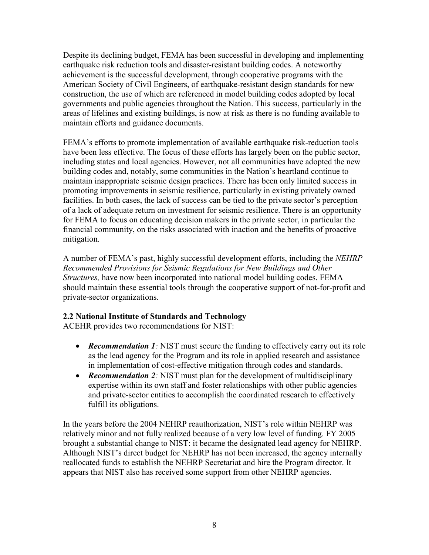Despite its declining budget, FEMA has been successful in developing and implementing earthquake risk reduction tools and disaster-resistant building codes. A noteworthy achievement is the successful development, through cooperative programs with the American Society of Civil Engineers, of earthquake-resistant design standards for new construction, the use of which are referenced in model building codes adopted by local governments and public agencies throughout the Nation. This success, particularly in the areas of lifelines and existing buildings, is now at risk as there is no funding available to maintain efforts and guidance documents.

FEMA's efforts to promote implementation of available earthquake risk-reduction tools have been less effective. The focus of these efforts has largely been on the public sector, including states and local agencies. However, not all communities have adopted the new building codes and, notably, some communities in the Nation's heartland continue to maintain inappropriate seismic design practices. There has been only limited success in promoting improvements in seismic resilience, particularly in existing privately owned facilities. In both cases, the lack of success can be tied to the private sector's perception of a lack of adequate return on investment for seismic resilience. There is an opportunity for FEMA to focus on educating decision makers in the private sector, in particular the financial community, on the risks associated with inaction and the benefits of proactive mitigation.

A number of FEMA's past, highly successful development efforts, including the NEHRP Recommended Provisions for Seismic Regulations for New Buildings and Other Structures, have now been incorporated into national model building codes. FEMA should maintain these essential tools through the cooperative support of not-for-profit and private-sector organizations.

## 2.2 National Institute of Standards and Technology

ACEHR provides two recommendations for NIST:

- Recommendation 1: NIST must secure the funding to effectively carry out its role as the lead agency for the Program and its role in applied research and assistance in implementation of cost-effective mitigation through codes and standards.
- Recommendation 2: NIST must plan for the development of multidisciplinary expertise within its own staff and foster relationships with other public agencies and private-sector entities to accomplish the coordinated research to effectively fulfill its obligations.

In the years before the 2004 NEHRP reauthorization, NIST's role within NEHRP was relatively minor and not fully realized because of a very low level of funding. FY 2005 brought a substantial change to NIST: it became the designated lead agency for NEHRP. Although NIST's direct budget for NEHRP has not been increased, the agency internally reallocated funds to establish the NEHRP Secretariat and hire the Program director. It appears that NIST also has received some support from other NEHRP agencies.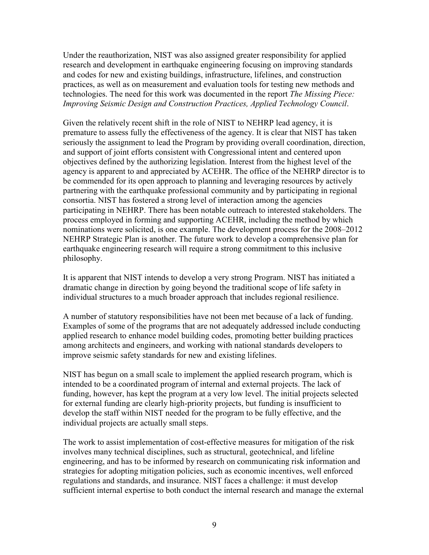Under the reauthorization, NIST was also assigned greater responsibility for applied research and development in earthquake engineering focusing on improving standards and codes for new and existing buildings, infrastructure, lifelines, and construction practices, as well as on measurement and evaluation tools for testing new methods and technologies. The need for this work was documented in the report The Missing Piece: Improving Seismic Design and Construction Practices, Applied Technology Council.

Given the relatively recent shift in the role of NIST to NEHRP lead agency, it is premature to assess fully the effectiveness of the agency. It is clear that NIST has taken seriously the assignment to lead the Program by providing overall coordination, direction, and support of joint efforts consistent with Congressional intent and centered upon objectives defined by the authorizing legislation. Interest from the highest level of the agency is apparent to and appreciated by ACEHR. The office of the NEHRP director is to be commended for its open approach to planning and leveraging resources by actively partnering with the earthquake professional community and by participating in regional consortia. NIST has fostered a strong level of interaction among the agencies participating in NEHRP. There has been notable outreach to interested stakeholders. The process employed in forming and supporting ACEHR, including the method by which nominations were solicited, is one example. The development process for the 2008–2012 NEHRP Strategic Plan is another. The future work to develop a comprehensive plan for earthquake engineering research will require a strong commitment to this inclusive philosophy.

It is apparent that NIST intends to develop a very strong Program. NIST has initiated a dramatic change in direction by going beyond the traditional scope of life safety in individual structures to a much broader approach that includes regional resilience.

A number of statutory responsibilities have not been met because of a lack of funding. Examples of some of the programs that are not adequately addressed include conducting applied research to enhance model building codes, promoting better building practices among architects and engineers, and working with national standards developers to improve seismic safety standards for new and existing lifelines.

NIST has begun on a small scale to implement the applied research program, which is intended to be a coordinated program of internal and external projects. The lack of funding, however, has kept the program at a very low level. The initial projects selected for external funding are clearly high-priority projects, but funding is insufficient to develop the staff within NIST needed for the program to be fully effective, and the individual projects are actually small steps.

The work to assist implementation of cost-effective measures for mitigation of the risk involves many technical disciplines, such as structural, geotechnical, and lifeline engineering, and has to be informed by research on communicating risk information and strategies for adopting mitigation policies, such as economic incentives, well enforced regulations and standards, and insurance. NIST faces a challenge: it must develop sufficient internal expertise to both conduct the internal research and manage the external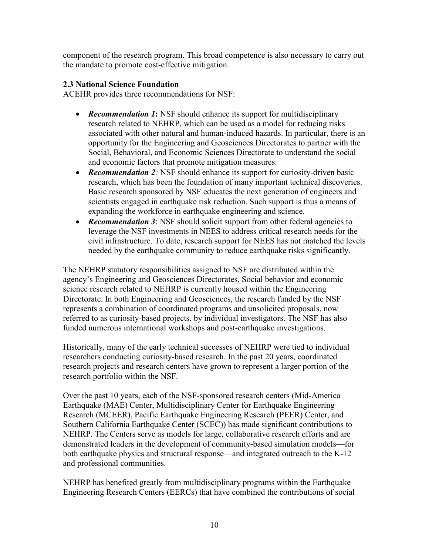component of the research program. This broad competence is also necessary to carry out the mandate to promote cost-effective mitigation.

## 2.3 National Science Foundation

ACEHR provides three recommendations for NSF:

- **Recommendation 1:** NSF should enhance its support for multidisciplinary research related to NEHRP, which can be used as a model for reducing risks associated with other natural and human-induced hazards. In particular, there is an opportunity for the Engineering and Geosciences Directorates to partner with the Social, Behavioral, and Economic Sciences Directorate to understand the social and economic factors that promote mitigation measures.
- Recommendation 2: NSF should enhance its support for curiosity-driven basic research, which has been the foundation of many important technical discoveries. Basic research sponsored by NSF educates the next generation of engineers and scientists engaged in earthquake risk reduction. Such support is thus a means of expanding the workforce in earthquake engineering and science.
- Recommendation 3: NSF should solicit support from other federal agencies to leverage the NSF investments in NEES to address critical research needs for the civil infrastructure. To date, research support for NEES has not matched the levels needed by the earthquake community to reduce earthquake risks significantly.

The NEHRP statutory responsibilities assigned to NSF are distributed within the agency's Engineering and Geosciences Directorates. Social behavior and economic science research related to NEHRP is currently housed within the Engineering Directorate. In both Engineering and Geosciences, the research funded by the NSF represents a combination of coordinated programs and unsolicited proposals, now referred to as curiosity-based projects, by individual investigators. The NSF has also funded numerous international workshops and post-earthquake investigations.

Historically, many of the early technical successes of NEHRP were tied to individual researchers conducting curiosity-based research. In the past 20 years, coordinated research projects and research centers have grown to represent a larger portion of the research portfolio within the NSF.

Over the past 10 years, each of the NSF-sponsored research centers (Mid-America Earthquake (MAE) Center, Multidisciplinary Center for Earthquake Engineering Research (MCEER), Pacific Earthquake Engineering Research (PEER) Center, and Southern California Earthquake Center (SCEC)) has made significant contributions to NEHRP. The Centers serve as models for large, collaborative research efforts and are demonstrated leaders in the development of community-based simulation models—for both earthquake physics and structural response—and integrated outreach to the K-12 and professional communities.

NEHRP has benefited greatly from multidisciplinary programs within the Earthquake Engineering Research Centers (EERCs) that have combined the contributions of social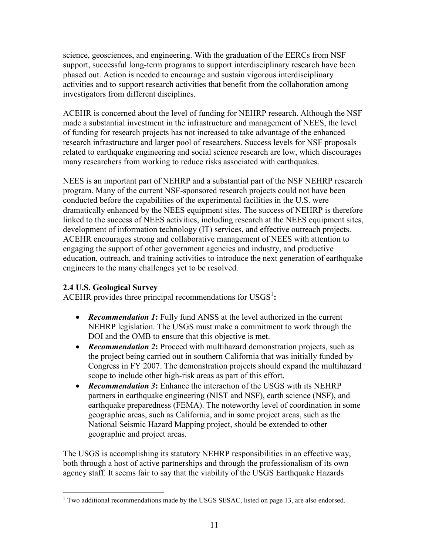science, geosciences, and engineering. With the graduation of the EERCs from NSF support, successful long-term programs to support interdisciplinary research have been phased out. Action is needed to encourage and sustain vigorous interdisciplinary activities and to support research activities that benefit from the collaboration among investigators from different disciplines.

ACEHR is concerned about the level of funding for NEHRP research. Although the NSF made a substantial investment in the infrastructure and management of NEES, the level of funding for research projects has not increased to take advantage of the enhanced research infrastructure and larger pool of researchers. Success levels for NSF proposals related to earthquake engineering and social science research are low, which discourages many researchers from working to reduce risks associated with earthquakes.

NEES is an important part of NEHRP and a substantial part of the NSF NEHRP research program. Many of the current NSF-sponsored research projects could not have been conducted before the capabilities of the experimental facilities in the U.S. were dramatically enhanced by the NEES equipment sites. The success of NEHRP is therefore linked to the success of NEES activities, including research at the NEES equipment sites, development of information technology (IT) services, and effective outreach projects. ACEHR encourages strong and collaborative management of NEES with attention to engaging the support of other government agencies and industry, and productive education, outreach, and training activities to introduce the next generation of earthquake engineers to the many challenges yet to be resolved.

## 2.4 U.S. Geological Survey

ACEHR provides three principal recommendations for  $USGS<sup>1</sup>$ :

- Recommendation 1: Fully fund ANSS at the level authorized in the current NEHRP legislation. The USGS must make a commitment to work through the DOI and the OMB to ensure that this objective is met.
- Recommendation 2: Proceed with multihazard demonstration projects, such as the project being carried out in southern California that was initially funded by Congress in FY 2007. The demonstration projects should expand the multihazard scope to include other high-risk areas as part of this effort.
- Recommendation 3: Enhance the interaction of the USGS with its NEHRP partners in earthquake engineering (NIST and NSF), earth science (NSF), and earthquake preparedness (FEMA). The noteworthy level of coordination in some geographic areas, such as California, and in some project areas, such as the National Seismic Hazard Mapping project, should be extended to other geographic and project areas.

The USGS is accomplishing its statutory NEHRP responsibilities in an effective way, both through a host of active partnerships and through the professionalism of its own agency staff. It seems fair to say that the viability of the USGS Earthquake Hazards

 $\overline{a}$ <sup>1</sup> Two additional recommendations made by the USGS SESAC, listed on page 13, are also endorsed.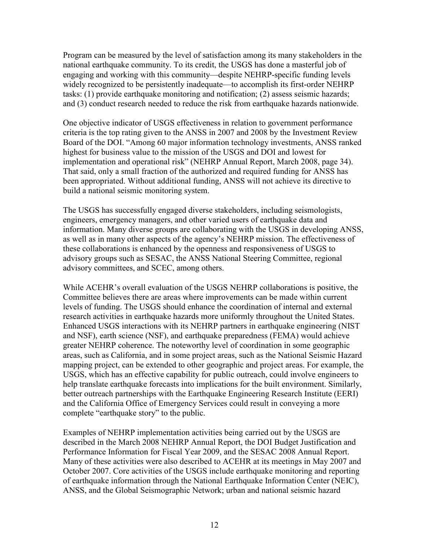Program can be measured by the level of satisfaction among its many stakeholders in the national earthquake community. To its credit, the USGS has done a masterful job of engaging and working with this community—despite NEHRP-specific funding levels widely recognized to be persistently inadequate—to accomplish its first-order NEHRP tasks: (1) provide earthquake monitoring and notification; (2) assess seismic hazards; and (3) conduct research needed to reduce the risk from earthquake hazards nationwide.

One objective indicator of USGS effectiveness in relation to government performance criteria is the top rating given to the ANSS in 2007 and 2008 by the Investment Review Board of the DOI. "Among 60 major information technology investments, ANSS ranked highest for business value to the mission of the USGS and DOI and lowest for implementation and operational risk" (NEHRP Annual Report, March 2008, page 34). That said, only a small fraction of the authorized and required funding for ANSS has been appropriated. Without additional funding, ANSS will not achieve its directive to build a national seismic monitoring system.

The USGS has successfully engaged diverse stakeholders, including seismologists, engineers, emergency managers, and other varied users of earthquake data and information. Many diverse groups are collaborating with the USGS in developing ANSS, as well as in many other aspects of the agency's NEHRP mission. The effectiveness of these collaborations is enhanced by the openness and responsiveness of USGS to advisory groups such as SESAC, the ANSS National Steering Committee, regional advisory committees, and SCEC, among others.

While ACEHR's overall evaluation of the USGS NEHRP collaborations is positive, the Committee believes there are areas where improvements can be made within current levels of funding. The USGS should enhance the coordination of internal and external research activities in earthquake hazards more uniformly throughout the United States. Enhanced USGS interactions with its NEHRP partners in earthquake engineering (NIST and NSF), earth science (NSF), and earthquake preparedness (FEMA) would achieve greater NEHRP coherence. The noteworthy level of coordination in some geographic areas, such as California, and in some project areas, such as the National Seismic Hazard mapping project, can be extended to other geographic and project areas. For example, the USGS, which has an effective capability for public outreach, could involve engineers to help translate earthquake forecasts into implications for the built environment. Similarly, better outreach partnerships with the Earthquake Engineering Research Institute (EERI) and the California Office of Emergency Services could result in conveying a more complete "earthquake story" to the public.

Examples of NEHRP implementation activities being carried out by the USGS are described in the March 2008 NEHRP Annual Report, the DOI Budget Justification and Performance Information for Fiscal Year 2009, and the SESAC 2008 Annual Report. Many of these activities were also described to ACEHR at its meetings in May 2007 and October 2007. Core activities of the USGS include earthquake monitoring and reporting of earthquake information through the National Earthquake Information Center (NEIC), ANSS, and the Global Seismographic Network; urban and national seismic hazard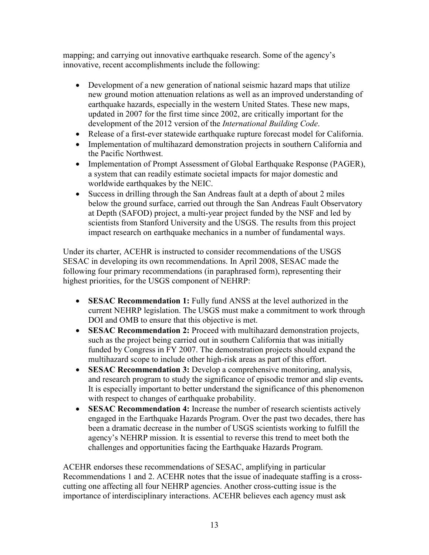mapping; and carrying out innovative earthquake research. Some of the agency's innovative, recent accomplishments include the following:

- Development of a new generation of national seismic hazard maps that utilize new ground motion attenuation relations as well as an improved understanding of earthquake hazards, especially in the western United States. These new maps, updated in 2007 for the first time since 2002, are critically important for the development of the 2012 version of the International Building Code.
- Release of a first-ever statewide earthquake rupture forecast model for California.
- Implementation of multihazard demonstration projects in southern California and the Pacific Northwest.
- Implementation of Prompt Assessment of Global Earthquake Response (PAGER), a system that can readily estimate societal impacts for major domestic and worldwide earthquakes by the NEIC.
- Success in drilling through the San Andreas fault at a depth of about 2 miles below the ground surface, carried out through the San Andreas Fault Observatory at Depth (SAFOD) project, a multi-year project funded by the NSF and led by scientists from Stanford University and the USGS. The results from this project impact research on earthquake mechanics in a number of fundamental ways.

Under its charter, ACEHR is instructed to consider recommendations of the USGS SESAC in developing its own recommendations. In April 2008, SESAC made the following four primary recommendations (in paraphrased form), representing their highest priorities, for the USGS component of NEHRP:

- SESAC Recommendation 1: Fully fund ANSS at the level authorized in the current NEHRP legislation. The USGS must make a commitment to work through DOI and OMB to ensure that this objective is met.
- SESAC Recommendation 2: Proceed with multihazard demonstration projects, such as the project being carried out in southern California that was initially funded by Congress in FY 2007. The demonstration projects should expand the multihazard scope to include other high-risk areas as part of this effort.
- **SESAC Recommendation 3:** Develop a comprehensive monitoring, analysis, and research program to study the significance of episodic tremor and slip events. It is especially important to better understand the significance of this phenomenon with respect to changes of earthquake probability.
- SESAC Recommendation 4: Increase the number of research scientists actively engaged in the Earthquake Hazards Program. Over the past two decades, there has been a dramatic decrease in the number of USGS scientists working to fulfill the agency's NEHRP mission. It is essential to reverse this trend to meet both the challenges and opportunities facing the Earthquake Hazards Program.

ACEHR endorses these recommendations of SESAC, amplifying in particular Recommendations 1 and 2. ACEHR notes that the issue of inadequate staffing is a crosscutting one affecting all four NEHRP agencies. Another cross-cutting issue is the importance of interdisciplinary interactions. ACEHR believes each agency must ask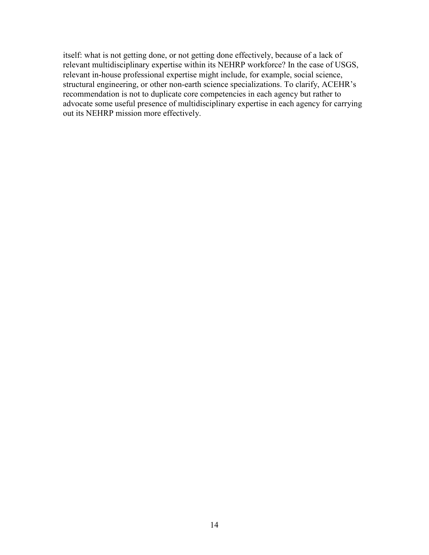itself: what is not getting done, or not getting done effectively, because of a lack of relevant multidisciplinary expertise within its NEHRP workforce? In the case of USGS, relevant in-house professional expertise might include, for example, social science, structural engineering, or other non-earth science specializations. To clarify, ACEHR's recommendation is not to duplicate core competencies in each agency but rather to advocate some useful presence of multidisciplinary expertise in each agency for carrying out its NEHRP mission more effectively.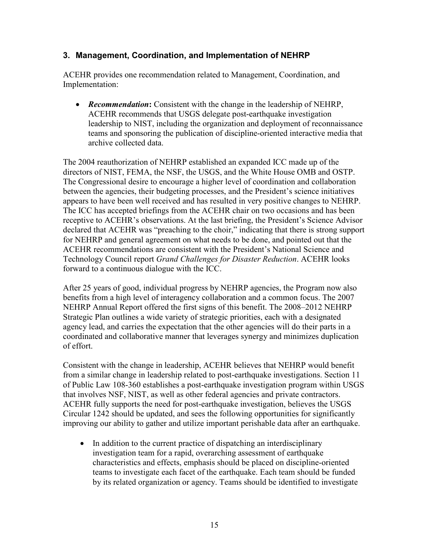## 3. Management, Coordination, and Implementation of NEHRP

ACEHR provides one recommendation related to Management, Coordination, and Implementation:

• Recommendation: Consistent with the change in the leadership of NEHRP, ACEHR recommends that USGS delegate post-earthquake investigation leadership to NIST, including the organization and deployment of reconnaissance teams and sponsoring the publication of discipline-oriented interactive media that archive collected data.

The 2004 reauthorization of NEHRP established an expanded ICC made up of the directors of NIST, FEMA, the NSF, the USGS, and the White House OMB and OSTP. The Congressional desire to encourage a higher level of coordination and collaboration between the agencies, their budgeting processes, and the President's science initiatives appears to have been well received and has resulted in very positive changes to NEHRP. The ICC has accepted briefings from the ACEHR chair on two occasions and has been receptive to ACEHR's observations. At the last briefing, the President's Science Advisor declared that ACEHR was "preaching to the choir," indicating that there is strong support for NEHRP and general agreement on what needs to be done, and pointed out that the ACEHR recommendations are consistent with the President's National Science and Technology Council report Grand Challenges for Disaster Reduction. ACEHR looks forward to a continuous dialogue with the ICC.

After 25 years of good, individual progress by NEHRP agencies, the Program now also benefits from a high level of interagency collaboration and a common focus. The 2007 NEHRP Annual Report offered the first signs of this benefit. The 2008–2012 NEHRP Strategic Plan outlines a wide variety of strategic priorities, each with a designated agency lead, and carries the expectation that the other agencies will do their parts in a coordinated and collaborative manner that leverages synergy and minimizes duplication of effort.

Consistent with the change in leadership, ACEHR believes that NEHRP would benefit from a similar change in leadership related to post-earthquake investigations. Section 11 of Public Law 108-360 establishes a post-earthquake investigation program within USGS that involves NSF, NIST, as well as other federal agencies and private contractors. ACEHR fully supports the need for post-earthquake investigation, believes the USGS Circular 1242 should be updated, and sees the following opportunities for significantly improving our ability to gather and utilize important perishable data after an earthquake.

• In addition to the current practice of dispatching an interdisciplinary investigation team for a rapid, overarching assessment of earthquake characteristics and effects, emphasis should be placed on discipline-oriented teams to investigate each facet of the earthquake. Each team should be funded by its related organization or agency. Teams should be identified to investigate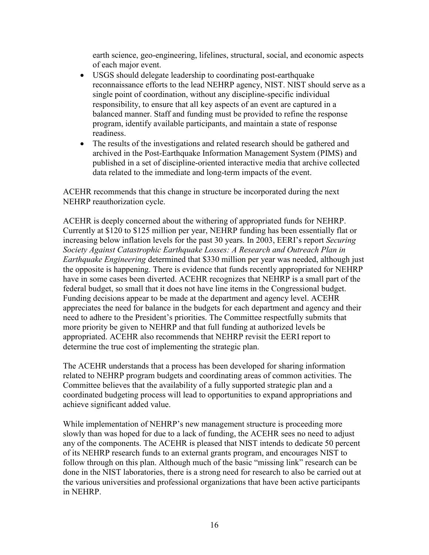earth science, geo-engineering, lifelines, structural, social, and economic aspects of each major event.

- USGS should delegate leadership to coordinating post-earthquake reconnaissance efforts to the lead NEHRP agency, NIST. NIST should serve as a single point of coordination, without any discipline-specific individual responsibility, to ensure that all key aspects of an event are captured in a balanced manner. Staff and funding must be provided to refine the response program, identify available participants, and maintain a state of response readiness.
- The results of the investigations and related research should be gathered and archived in the Post-Earthquake Information Management System (PIMS) and published in a set of discipline-oriented interactive media that archive collected data related to the immediate and long-term impacts of the event.

ACEHR recommends that this change in structure be incorporated during the next NEHRP reauthorization cycle.

ACEHR is deeply concerned about the withering of appropriated funds for NEHRP. Currently at \$120 to \$125 million per year, NEHRP funding has been essentially flat or increasing below inflation levels for the past 30 years. In 2003, EERI's report Securing Society Against Catastrophic Earthquake Losses: A Research and Outreach Plan in Earthquake Engineering determined that \$330 million per year was needed, although just the opposite is happening. There is evidence that funds recently appropriated for NEHRP have in some cases been diverted. ACEHR recognizes that NEHRP is a small part of the federal budget, so small that it does not have line items in the Congressional budget. Funding decisions appear to be made at the department and agency level. ACEHR appreciates the need for balance in the budgets for each department and agency and their need to adhere to the President's priorities. The Committee respectfully submits that more priority be given to NEHRP and that full funding at authorized levels be appropriated. ACEHR also recommends that NEHRP revisit the EERI report to determine the true cost of implementing the strategic plan.

The ACEHR understands that a process has been developed for sharing information related to NEHRP program budgets and coordinating areas of common activities. The Committee believes that the availability of a fully supported strategic plan and a coordinated budgeting process will lead to opportunities to expand appropriations and achieve significant added value.

While implementation of NEHRP's new management structure is proceeding more slowly than was hoped for due to a lack of funding, the ACEHR sees no need to adjust any of the components. The ACEHR is pleased that NIST intends to dedicate 50 percent of its NEHRP research funds to an external grants program, and encourages NIST to follow through on this plan. Although much of the basic "missing link" research can be done in the NIST laboratories, there is a strong need for research to also be carried out at the various universities and professional organizations that have been active participants in NEHRP.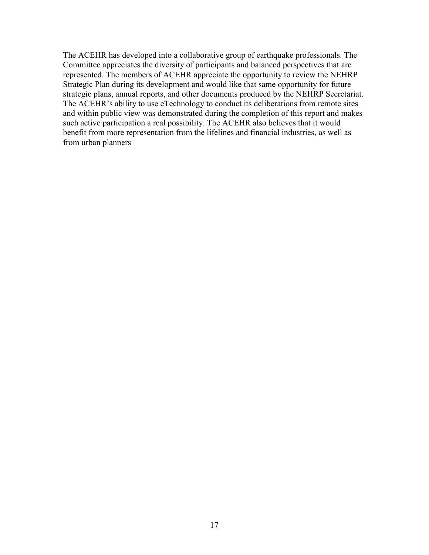The ACEHR has developed into a collaborative group of earthquake professionals. The Committee appreciates the diversity of participants and balanced perspectives that are represented. The members of ACEHR appreciate the opportunity to review the NEHRP Strategic Plan during its development and would like that same opportunity for future strategic plans, annual reports, and other documents produced by the NEHRP Secretariat. The ACEHR's ability to use eTechnology to conduct its deliberations from remote sites and within public view was demonstrated during the completion of this report and makes such active participation a real possibility. The ACEHR also believes that it would benefit from more representation from the lifelines and financial industries, as well as from urban planners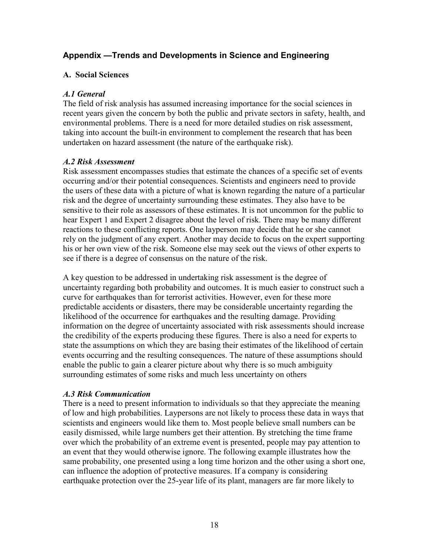## Appendix —Trends and Developments in Science and Engineering

## A. Social Sciences

## A.1 General

The field of risk analysis has assumed increasing importance for the social sciences in recent years given the concern by both the public and private sectors in safety, health, and environmental problems. There is a need for more detailed studies on risk assessment, taking into account the built-in environment to complement the research that has been undertaken on hazard assessment (the nature of the earthquake risk).

## A.2 Risk Assessment

Risk assessment encompasses studies that estimate the chances of a specific set of events occurring and/or their potential consequences. Scientists and engineers need to provide the users of these data with a picture of what is known regarding the nature of a particular risk and the degree of uncertainty surrounding these estimates. They also have to be sensitive to their role as assessors of these estimates. It is not uncommon for the public to hear Expert 1 and Expert 2 disagree about the level of risk. There may be many different reactions to these conflicting reports. One layperson may decide that he or she cannot rely on the judgment of any expert. Another may decide to focus on the expert supporting his or her own view of the risk. Someone else may seek out the views of other experts to see if there is a degree of consensus on the nature of the risk.

A key question to be addressed in undertaking risk assessment is the degree of uncertainty regarding both probability and outcomes. It is much easier to construct such a curve for earthquakes than for terrorist activities. However, even for these more predictable accidents or disasters, there may be considerable uncertainty regarding the likelihood of the occurrence for earthquakes and the resulting damage. Providing information on the degree of uncertainty associated with risk assessments should increase the credibility of the experts producing these figures. There is also a need for experts to state the assumptions on which they are basing their estimates of the likelihood of certain events occurring and the resulting consequences. The nature of these assumptions should enable the public to gain a clearer picture about why there is so much ambiguity surrounding estimates of some risks and much less uncertainty on others

## A.3 Risk Communication

There is a need to present information to individuals so that they appreciate the meaning of low and high probabilities. Laypersons are not likely to process these data in ways that scientists and engineers would like them to. Most people believe small numbers can be easily dismissed, while large numbers get their attention. By stretching the time frame over which the probability of an extreme event is presented, people may pay attention to an event that they would otherwise ignore. The following example illustrates how the same probability, one presented using a long time horizon and the other using a short one, can influence the adoption of protective measures. If a company is considering earthquake protection over the 25-year life of its plant, managers are far more likely to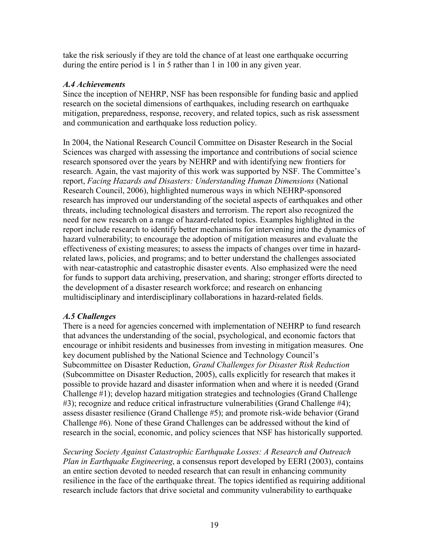take the risk seriously if they are told the chance of at least one earthquake occurring during the entire period is 1 in 5 rather than 1 in 100 in any given year.

#### A.4 Achievements

Since the inception of NEHRP, NSF has been responsible for funding basic and applied research on the societal dimensions of earthquakes, including research on earthquake mitigation, preparedness, response, recovery, and related topics, such as risk assessment and communication and earthquake loss reduction policy.

In 2004, the National Research Council Committee on Disaster Research in the Social Sciences was charged with assessing the importance and contributions of social science research sponsored over the years by NEHRP and with identifying new frontiers for research. Again, the vast majority of this work was supported by NSF. The Committee's report, Facing Hazards and Disasters: Understanding Human Dimensions (National Research Council, 2006), highlighted numerous ways in which NEHRP-sponsored research has improved our understanding of the societal aspects of earthquakes and other threats, including technological disasters and terrorism. The report also recognized the need for new research on a range of hazard-related topics. Examples highlighted in the report include research to identify better mechanisms for intervening into the dynamics of hazard vulnerability; to encourage the adoption of mitigation measures and evaluate the effectiveness of existing measures; to assess the impacts of changes over time in hazardrelated laws, policies, and programs; and to better understand the challenges associated with near-catastrophic and catastrophic disaster events. Also emphasized were the need for funds to support data archiving, preservation, and sharing; stronger efforts directed to the development of a disaster research workforce; and research on enhancing multidisciplinary and interdisciplinary collaborations in hazard-related fields.

## A.5 Challenges

There is a need for agencies concerned with implementation of NEHRP to fund research that advances the understanding of the social, psychological, and economic factors that encourage or inhibit residents and businesses from investing in mitigation measures. One key document published by the National Science and Technology Council's Subcommittee on Disaster Reduction, Grand Challenges for Disaster Risk Reduction (Subcommittee on Disaster Reduction, 2005), calls explicitly for research that makes it possible to provide hazard and disaster information when and where it is needed (Grand Challenge #1); develop hazard mitigation strategies and technologies (Grand Challenge #3); recognize and reduce critical infrastructure vulnerabilities (Grand Challenge #4); assess disaster resilience (Grand Challenge #5); and promote risk-wide behavior (Grand Challenge #6). None of these Grand Challenges can be addressed without the kind of research in the social, economic, and policy sciences that NSF has historically supported.

Securing Society Against Catastrophic Earthquake Losses: A Research and Outreach Plan in Earthquake Engineering, a consensus report developed by EERI (2003), contains an entire section devoted to needed research that can result in enhancing community resilience in the face of the earthquake threat. The topics identified as requiring additional research include factors that drive societal and community vulnerability to earthquake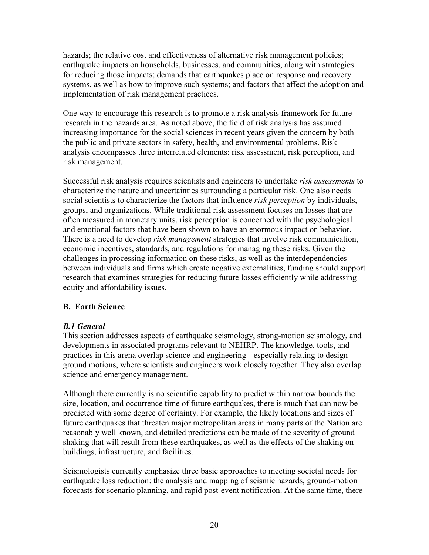hazards; the relative cost and effectiveness of alternative risk management policies; earthquake impacts on households, businesses, and communities, along with strategies for reducing those impacts; demands that earthquakes place on response and recovery systems, as well as how to improve such systems; and factors that affect the adoption and implementation of risk management practices.

One way to encourage this research is to promote a risk analysis framework for future research in the hazards area. As noted above, the field of risk analysis has assumed increasing importance for the social sciences in recent years given the concern by both the public and private sectors in safety, health, and environmental problems. Risk analysis encompasses three interrelated elements: risk assessment, risk perception, and risk management.

Successful risk analysis requires scientists and engineers to undertake risk assessments to characterize the nature and uncertainties surrounding a particular risk. One also needs social scientists to characterize the factors that influence risk perception by individuals, groups, and organizations. While traditional risk assessment focuses on losses that are often measured in monetary units, risk perception is concerned with the psychological and emotional factors that have been shown to have an enormous impact on behavior. There is a need to develop *risk management* strategies that involve risk communication, economic incentives, standards, and regulations for managing these risks. Given the challenges in processing information on these risks, as well as the interdependencies between individuals and firms which create negative externalities, funding should support research that examines strategies for reducing future losses efficiently while addressing equity and affordability issues.

## B. Earth Science

## B.1 General

This section addresses aspects of earthquake seismology, strong-motion seismology, and developments in associated programs relevant to NEHRP. The knowledge, tools, and practices in this arena overlap science and engineering—especially relating to design ground motions, where scientists and engineers work closely together. They also overlap science and emergency management.

Although there currently is no scientific capability to predict within narrow bounds the size, location, and occurrence time of future earthquakes, there is much that can now be predicted with some degree of certainty. For example, the likely locations and sizes of future earthquakes that threaten major metropolitan areas in many parts of the Nation are reasonably well known, and detailed predictions can be made of the severity of ground shaking that will result from these earthquakes, as well as the effects of the shaking on buildings, infrastructure, and facilities.

Seismologists currently emphasize three basic approaches to meeting societal needs for earthquake loss reduction: the analysis and mapping of seismic hazards, ground-motion forecasts for scenario planning, and rapid post-event notification. At the same time, there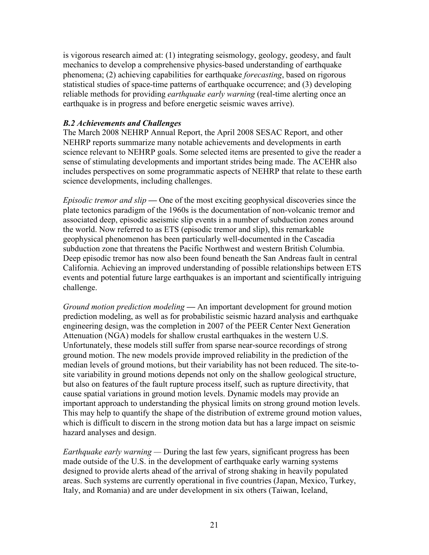is vigorous research aimed at: (1) integrating seismology, geology, geodesy, and fault mechanics to develop a comprehensive physics-based understanding of earthquake phenomena; (2) achieving capabilities for earthquake *forecasting*, based on rigorous statistical studies of space-time patterns of earthquake occurrence; and (3) developing reliable methods for providing *earthquake early warning* (real-time alerting once an earthquake is in progress and before energetic seismic waves arrive).

#### B.2 Achievements and Challenges

The March 2008 NEHRP Annual Report, the April 2008 SESAC Report, and other NEHRP reports summarize many notable achievements and developments in earth science relevant to NEHRP goals. Some selected items are presented to give the reader a sense of stimulating developments and important strides being made. The ACEHR also includes perspectives on some programmatic aspects of NEHRP that relate to these earth science developments, including challenges.

Episodic tremor and  $slip$  — One of the most exciting geophysical discoveries since the plate tectonics paradigm of the 1960s is the documentation of non-volcanic tremor and associated deep, episodic aseismic slip events in a number of subduction zones around the world. Now referred to as ETS (episodic tremor and slip), this remarkable geophysical phenomenon has been particularly well-documented in the Cascadia subduction zone that threatens the Pacific Northwest and western British Columbia. Deep episodic tremor has now also been found beneath the San Andreas fault in central California. Achieving an improved understanding of possible relationships between ETS events and potential future large earthquakes is an important and scientifically intriguing challenge.

Ground motion prediction modeling — An important development for ground motion prediction modeling, as well as for probabilistic seismic hazard analysis and earthquake engineering design, was the completion in 2007 of the PEER Center Next Generation Attenuation (NGA) models for shallow crustal earthquakes in the western U.S. Unfortunately, these models still suffer from sparse near-source recordings of strong ground motion. The new models provide improved reliability in the prediction of the median levels of ground motions, but their variability has not been reduced. The site-tosite variability in ground motions depends not only on the shallow geological structure, but also on features of the fault rupture process itself, such as rupture directivity, that cause spatial variations in ground motion levels. Dynamic models may provide an important approach to understanding the physical limits on strong ground motion levels. This may help to quantify the shape of the distribution of extreme ground motion values, which is difficult to discern in the strong motion data but has a large impact on seismic hazard analyses and design.

*Earthquake early warning* — During the last few years, significant progress has been made outside of the U.S. in the development of earthquake early warning systems designed to provide alerts ahead of the arrival of strong shaking in heavily populated areas. Such systems are currently operational in five countries (Japan, Mexico, Turkey, Italy, and Romania) and are under development in six others (Taiwan, Iceland,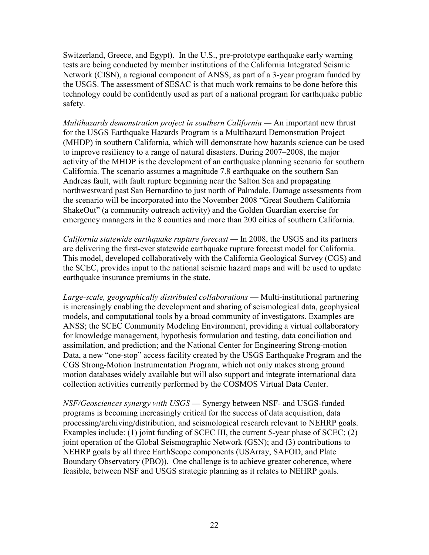Switzerland, Greece, and Egypt). In the U.S., pre-prototype earthquake early warning tests are being conducted by member institutions of the California Integrated Seismic Network (CISN), a regional component of ANSS, as part of a 3-year program funded by the USGS. The assessment of SESAC is that much work remains to be done before this technology could be confidently used as part of a national program for earthquake public safety.

Multihazards demonstration project in southern California — An important new thrust for the USGS Earthquake Hazards Program is a Multihazard Demonstration Project (MHDP) in southern California, which will demonstrate how hazards science can be used to improve resiliency to a range of natural disasters. During 2007–2008, the major activity of the MHDP is the development of an earthquake planning scenario for southern California. The scenario assumes a magnitude 7.8 earthquake on the southern San Andreas fault, with fault rupture beginning near the Salton Sea and propagating northwestward past San Bernardino to just north of Palmdale. Damage assessments from the scenario will be incorporated into the November 2008 "Great Southern California ShakeOut" (a community outreach activity) and the Golden Guardian exercise for emergency managers in the 8 counties and more than 200 cities of southern California.

California statewide earthquake rupture forecast — In 2008, the USGS and its partners are delivering the first-ever statewide earthquake rupture forecast model for California. This model, developed collaboratively with the California Geological Survey (CGS) and the SCEC, provides input to the national seismic hazard maps and will be used to update earthquake insurance premiums in the state.

Large-scale, geographically distributed collaborations — Multi-institutional partnering is increasingly enabling the development and sharing of seismological data, geophysical models, and computational tools by a broad community of investigators. Examples are ANSS; the SCEC Community Modeling Environment, providing a virtual collaboratory for knowledge management, hypothesis formulation and testing, data conciliation and assimilation, and prediction; and the National Center for Engineering Strong-motion Data, a new "one-stop" access facility created by the USGS Earthquake Program and the CGS Strong-Motion Instrumentation Program, which not only makes strong ground motion databases widely available but will also support and integrate international data collection activities currently performed by the COSMOS Virtual Data Center.

NSF/Geosciences synergy with USGS — Synergy between NSF- and USGS-funded programs is becoming increasingly critical for the success of data acquisition, data processing/archiving/distribution, and seismological research relevant to NEHRP goals. Examples include: (1) joint funding of SCEC III, the current 5-year phase of SCEC; (2) joint operation of the Global Seismographic Network (GSN); and (3) contributions to NEHRP goals by all three EarthScope components (USArray, SAFOD, and Plate Boundary Observatory (PBO)). One challenge is to achieve greater coherence, where feasible, between NSF and USGS strategic planning as it relates to NEHRP goals.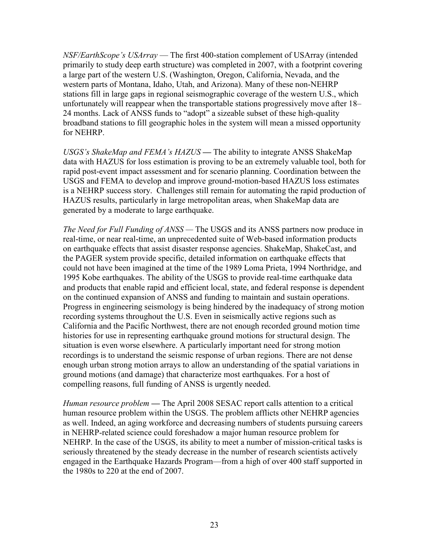NSF/EarthScope's USArray — The first 400-station complement of USArray (intended primarily to study deep earth structure) was completed in 2007, with a footprint covering a large part of the western U.S. (Washington, Oregon, California, Nevada, and the western parts of Montana, Idaho, Utah, and Arizona). Many of these non-NEHRP stations fill in large gaps in regional seismographic coverage of the western U.S., which unfortunately will reappear when the transportable stations progressively move after 18– 24 months. Lack of ANSS funds to "adopt" a sizeable subset of these high-quality broadband stations to fill geographic holes in the system will mean a missed opportunity for NEHRP.

USGS's ShakeMap and FEMA's HAZUS — The ability to integrate ANSS ShakeMap data with HAZUS for loss estimation is proving to be an extremely valuable tool, both for rapid post-event impact assessment and for scenario planning. Coordination between the USGS and FEMA to develop and improve ground-motion-based HAZUS loss estimates is a NEHRP success story. Challenges still remain for automating the rapid production of HAZUS results, particularly in large metropolitan areas, when ShakeMap data are generated by a moderate to large earthquake.

The Need for Full Funding of ANSS — The USGS and its ANSS partners now produce in real-time, or near real-time, an unprecedented suite of Web-based information products on earthquake effects that assist disaster response agencies. ShakeMap, ShakeCast, and the PAGER system provide specific, detailed information on earthquake effects that could not have been imagined at the time of the 1989 Loma Prieta, 1994 Northridge, and 1995 Kobe earthquakes. The ability of the USGS to provide real-time earthquake data and products that enable rapid and efficient local, state, and federal response is dependent on the continued expansion of ANSS and funding to maintain and sustain operations. Progress in engineering seismology is being hindered by the inadequacy of strong motion recording systems throughout the U.S. Even in seismically active regions such as California and the Pacific Northwest, there are not enough recorded ground motion time histories for use in representing earthquake ground motions for structural design. The situation is even worse elsewhere. A particularly important need for strong motion recordings is to understand the seismic response of urban regions. There are not dense enough urban strong motion arrays to allow an understanding of the spatial variations in ground motions (and damage) that characterize most earthquakes. For a host of compelling reasons, full funding of ANSS is urgently needed.

Human resource problem — The April 2008 SESAC report calls attention to a critical human resource problem within the USGS. The problem afflicts other NEHRP agencies as well. Indeed, an aging workforce and decreasing numbers of students pursuing careers in NEHRP-related science could foreshadow a major human resource problem for NEHRP. In the case of the USGS, its ability to meet a number of mission-critical tasks is seriously threatened by the steady decrease in the number of research scientists actively engaged in the Earthquake Hazards Program—from a high of over 400 staff supported in the 1980s to 220 at the end of 2007.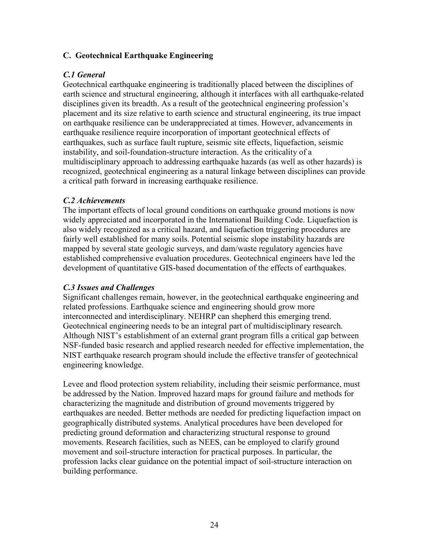## C. Geotechnical Earthquake Engineering

## C.1 General

Geotechnical earthquake engineering is traditionally placed between the disciplines of earth science and structural engineering, although it interfaces with all earthquake-related disciplines given its breadth. As a result of the geotechnical engineering profession's placement and its size relative to earth science and structural engineering, its true impact on earthquake resilience can be underappreciated at times. However, advancements in earthquake resilience require incorporation of important geotechnical effects of earthquakes, such as surface fault rupture, seismic site effects, liquefaction, seismic instability, and soil-foundation-structure interaction. As the criticality of a multidisciplinary approach to addressing earthquake hazards (as well as other hazards) is recognized, geotechnical engineering as a natural linkage between disciplines can provide a critical path forward in increasing earthquake resilience.

## C.2 Achievements

The important effects of local ground conditions on earthquake ground motions is now widely appreciated and incorporated in the International Building Code. Liquefaction is also widely recognized as a critical hazard, and liquefaction triggering procedures are fairly well established for many soils. Potential seismic slope instability hazards are mapped by several state geologic surveys, and dam/waste regulatory agencies have established comprehensive evaluation procedures. Geotechnical engineers have led the development of quantitative GIS-based documentation of the effects of earthquakes.

## C.3 Issues and Challenges

Significant challenges remain, however, in the geotechnical earthquake engineering and related professions. Earthquake science and engineering should grow more interconnected and interdisciplinary. NEHRP can shepherd this emerging trend. Geotechnical engineering needs to be an integral part of multidisciplinary research. Although NIST's establishment of an external grant program fills a critical gap between NSF-funded basic research and applied research needed for effective implementation, the NIST earthquake research program should include the effective transfer of geotechnical engineering knowledge.

Levee and flood protection system reliability, including their seismic performance, must be addressed by the Nation. Improved hazard maps for ground failure and methods for characterizing the magnitude and distribution of ground movements triggered by earthquakes are needed. Better methods are needed for predicting liquefaction impact on geographically distributed systems. Analytical procedures have been developed for predicting ground deformation and characterizing structural response to ground movements. Research facilities, such as NEES, can be employed to clarify ground movement and soil-structure interaction for practical purposes. In particular, the profession lacks clear guidance on the potential impact of soil-structure interaction on building performance.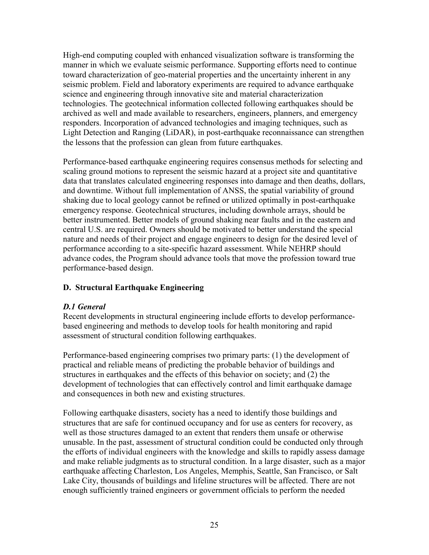High-end computing coupled with enhanced visualization software is transforming the manner in which we evaluate seismic performance. Supporting efforts need to continue toward characterization of geo-material properties and the uncertainty inherent in any seismic problem. Field and laboratory experiments are required to advance earthquake science and engineering through innovative site and material characterization technologies. The geotechnical information collected following earthquakes should be archived as well and made available to researchers, engineers, planners, and emergency responders. Incorporation of advanced technologies and imaging techniques, such as Light Detection and Ranging (LiDAR), in post-earthquake reconnaissance can strengthen the lessons that the profession can glean from future earthquakes.

Performance-based earthquake engineering requires consensus methods for selecting and scaling ground motions to represent the seismic hazard at a project site and quantitative data that translates calculated engineering responses into damage and then deaths, dollars, and downtime. Without full implementation of ANSS, the spatial variability of ground shaking due to local geology cannot be refined or utilized optimally in post-earthquake emergency response. Geotechnical structures, including downhole arrays, should be better instrumented. Better models of ground shaking near faults and in the eastern and central U.S. are required. Owners should be motivated to better understand the special nature and needs of their project and engage engineers to design for the desired level of performance according to a site-specific hazard assessment. While NEHRP should advance codes, the Program should advance tools that move the profession toward true performance-based design.

## D. Structural Earthquake Engineering

## D.1 General

Recent developments in structural engineering include efforts to develop performancebased engineering and methods to develop tools for health monitoring and rapid assessment of structural condition following earthquakes.

Performance-based engineering comprises two primary parts: (1) the development of practical and reliable means of predicting the probable behavior of buildings and structures in earthquakes and the effects of this behavior on society; and (2) the development of technologies that can effectively control and limit earthquake damage and consequences in both new and existing structures.

Following earthquake disasters, society has a need to identify those buildings and structures that are safe for continued occupancy and for use as centers for recovery, as well as those structures damaged to an extent that renders them unsafe or otherwise unusable. In the past, assessment of structural condition could be conducted only through the efforts of individual engineers with the knowledge and skills to rapidly assess damage and make reliable judgments as to structural condition. In a large disaster, such as a major earthquake affecting Charleston, Los Angeles, Memphis, Seattle, San Francisco, or Salt Lake City, thousands of buildings and lifeline structures will be affected. There are not enough sufficiently trained engineers or government officials to perform the needed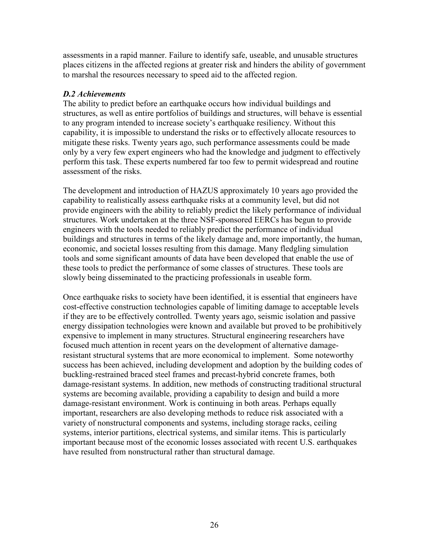assessments in a rapid manner. Failure to identify safe, useable, and unusable structures places citizens in the affected regions at greater risk and hinders the ability of government to marshal the resources necessary to speed aid to the affected region.

#### D.2 Achievements

The ability to predict before an earthquake occurs how individual buildings and structures, as well as entire portfolios of buildings and structures, will behave is essential to any program intended to increase society's earthquake resiliency. Without this capability, it is impossible to understand the risks or to effectively allocate resources to mitigate these risks. Twenty years ago, such performance assessments could be made only by a very few expert engineers who had the knowledge and judgment to effectively perform this task. These experts numbered far too few to permit widespread and routine assessment of the risks.

The development and introduction of HAZUS approximately 10 years ago provided the capability to realistically assess earthquake risks at a community level, but did not provide engineers with the ability to reliably predict the likely performance of individual structures. Work undertaken at the three NSF-sponsored EERCs has begun to provide engineers with the tools needed to reliably predict the performance of individual buildings and structures in terms of the likely damage and, more importantly, the human, economic, and societal losses resulting from this damage. Many fledgling simulation tools and some significant amounts of data have been developed that enable the use of these tools to predict the performance of some classes of structures. These tools are slowly being disseminated to the practicing professionals in useable form.

Once earthquake risks to society have been identified, it is essential that engineers have cost-effective construction technologies capable of limiting damage to acceptable levels if they are to be effectively controlled. Twenty years ago, seismic isolation and passive energy dissipation technologies were known and available but proved to be prohibitively expensive to implement in many structures. Structural engineering researchers have focused much attention in recent years on the development of alternative damageresistant structural systems that are more economical to implement. Some noteworthy success has been achieved, including development and adoption by the building codes of buckling-restrained braced steel frames and precast-hybrid concrete frames, both damage-resistant systems. In addition, new methods of constructing traditional structural systems are becoming available, providing a capability to design and build a more damage-resistant environment. Work is continuing in both areas. Perhaps equally important, researchers are also developing methods to reduce risk associated with a variety of nonstructural components and systems, including storage racks, ceiling systems, interior partitions, electrical systems, and similar items. This is particularly important because most of the economic losses associated with recent U.S. earthquakes have resulted from nonstructural rather than structural damage.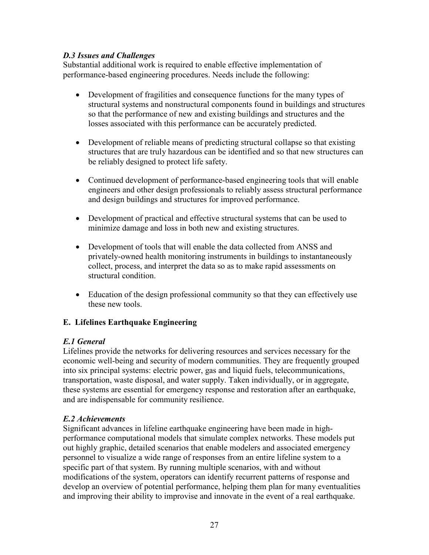## D.3 Issues and Challenges

Substantial additional work is required to enable effective implementation of performance-based engineering procedures. Needs include the following:

- Development of fragilities and consequence functions for the many types of structural systems and nonstructural components found in buildings and structures so that the performance of new and existing buildings and structures and the losses associated with this performance can be accurately predicted.
- Development of reliable means of predicting structural collapse so that existing structures that are truly hazardous can be identified and so that new structures can be reliably designed to protect life safety.
- Continued development of performance-based engineering tools that will enable engineers and other design professionals to reliably assess structural performance and design buildings and structures for improved performance.
- Development of practical and effective structural systems that can be used to minimize damage and loss in both new and existing structures.
- Development of tools that will enable the data collected from ANSS and privately-owned health monitoring instruments in buildings to instantaneously collect, process, and interpret the data so as to make rapid assessments on structural condition.
- Education of the design professional community so that they can effectively use these new tools.

## E. Lifelines Earthquake Engineering

## E.1 General

Lifelines provide the networks for delivering resources and services necessary for the economic well-being and security of modern communities. They are frequently grouped into six principal systems: electric power, gas and liquid fuels, telecommunications, transportation, waste disposal, and water supply. Taken individually, or in aggregate, these systems are essential for emergency response and restoration after an earthquake, and are indispensable for community resilience.

## E.2 Achievements

Significant advances in lifeline earthquake engineering have been made in highperformance computational models that simulate complex networks. These models put out highly graphic, detailed scenarios that enable modelers and associated emergency personnel to visualize a wide range of responses from an entire lifeline system to a specific part of that system. By running multiple scenarios, with and without modifications of the system, operators can identify recurrent patterns of response and develop an overview of potential performance, helping them plan for many eventualities and improving their ability to improvise and innovate in the event of a real earthquake.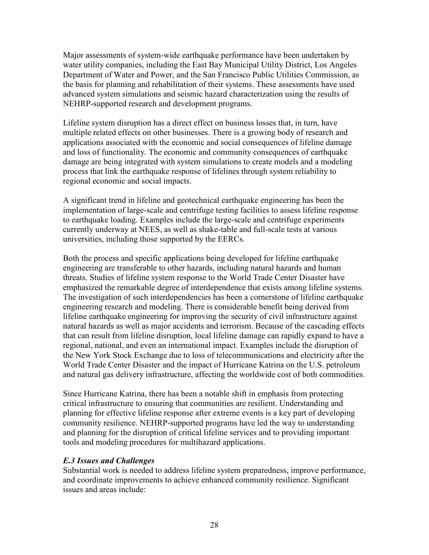Major assessments of system-wide earthquake performance have been undertaken by water utility companies, including the East Bay Municipal Utility District, Los Angeles Department of Water and Power, and the San Francisco Public Utilities Commission, as the basis for planning and rehabilitation of their systems. These assessments have used advanced system simulations and seismic hazard characterization using the results of NEHRP-supported research and development programs.

Lifeline system disruption has a direct effect on business losses that, in turn, have multiple related effects on other businesses. There is a growing body of research and applications associated with the economic and social consequences of lifeline damage and loss of functionality. The economic and community consequences of earthquake damage are being integrated with system simulations to create models and a modeling process that link the earthquake response of lifelines through system reliability to regional economic and social impacts.

A significant trend in lifeline and geotechnical earthquake engineering has been the implementation of large-scale and centrifuge testing facilities to assess lifeline response to earthquake loading. Examples include the large-scale and centrifuge experiments currently underway at NEES, as well as shake-table and full-scale tests at various universities, including those supported by the EERCs.

Both the process and specific applications being developed for lifeline earthquake engineering are transferable to other hazards, including natural hazards and human threats. Studies of lifeline system response to the World Trade Center Disaster have emphasized the remarkable degree of interdependence that exists among lifeline systems. The investigation of such interdependencies has been a cornerstone of lifeline earthquake engineering research and modeling. There is considerable benefit being derived from lifeline earthquake engineering for improving the security of civil infrastructure against natural hazards as well as major accidents and terrorism. Because of the cascading effects that can result from lifeline disruption, local lifeline damage can rapidly expand to have a regional, national, and even an international impact. Examples include the disruption of the New York Stock Exchange due to loss of telecommunications and electricity after the World Trade Center Disaster and the impact of Hurricane Katrina on the U.S. petroleum and natural gas delivery infrastructure, affecting the worldwide cost of both commodities.

Since Hurricane Katrina, there has been a notable shift in emphasis from protecting critical infrastructure to ensuring that communities are resilient. Understanding and planning for effective lifeline response after extreme events is a key part of developing community resilience. NEHRP-supported programs have led the way to understanding and planning for the disruption of critical lifeline services and to providing important tools and modeling procedures for multihazard applications.

## E.3 Issues and Challenges

Substantial work is needed to address lifeline system preparedness, improve performance, and coordinate improvements to achieve enhanced community resilience. Significant issues and areas include: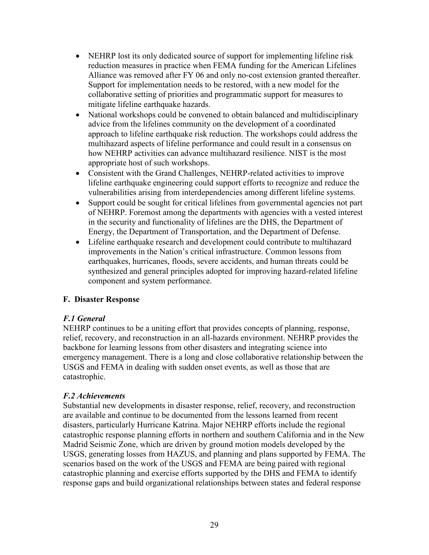- NEHRP lost its only dedicated source of support for implementing lifeline risk reduction measures in practice when FEMA funding for the American Lifelines Alliance was removed after FY 06 and only no-cost extension granted thereafter. Support for implementation needs to be restored, with a new model for the collaborative setting of priorities and programmatic support for measures to mitigate lifeline earthquake hazards.
- National workshops could be convened to obtain balanced and multidisciplinary advice from the lifelines community on the development of a coordinated approach to lifeline earthquake risk reduction. The workshops could address the multihazard aspects of lifeline performance and could result in a consensus on how NEHRP activities can advance multihazard resilience. NIST is the most appropriate host of such workshops.
- Consistent with the Grand Challenges, NEHRP-related activities to improve lifeline earthquake engineering could support efforts to recognize and reduce the vulnerabilities arising from interdependencies among different lifeline systems.
- Support could be sought for critical lifelines from governmental agencies not part of NEHRP. Foremost among the departments with agencies with a vested interest in the security and functionality of lifelines are the DHS, the Department of Energy, the Department of Transportation, and the Department of Defense.
- Lifeline earthquake research and development could contribute to multihazard improvements in the Nation's critical infrastructure. Common lessons from earthquakes, hurricanes, floods, severe accidents, and human threats could be synthesized and general principles adopted for improving hazard-related lifeline component and system performance.

## F. Disaster Response

## F.1 General

NEHRP continues to be a uniting effort that provides concepts of planning, response, relief, recovery, and reconstruction in an all-hazards environment. NEHRP provides the backbone for learning lessons from other disasters and integrating science into emergency management. There is a long and close collaborative relationship between the USGS and FEMA in dealing with sudden onset events, as well as those that are catastrophic.

## F.2 Achievements

Substantial new developments in disaster response, relief, recovery, and reconstruction are available and continue to be documented from the lessons learned from recent disasters, particularly Hurricane Katrina. Major NEHRP efforts include the regional catastrophic response planning efforts in northern and southern California and in the New Madrid Seismic Zone, which are driven by ground motion models developed by the USGS, generating losses from HAZUS, and planning and plans supported by FEMA. The scenarios based on the work of the USGS and FEMA are being paired with regional catastrophic planning and exercise efforts supported by the DHS and FEMA to identify response gaps and build organizational relationships between states and federal response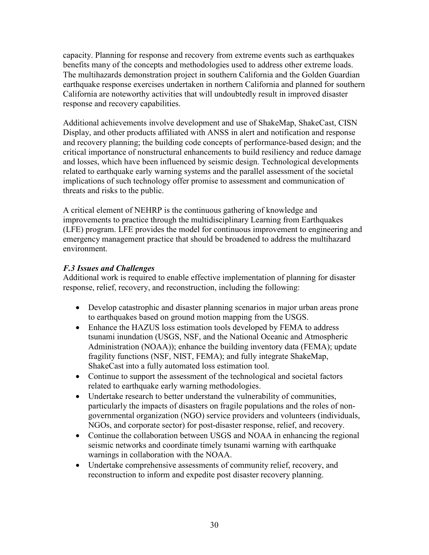capacity. Planning for response and recovery from extreme events such as earthquakes benefits many of the concepts and methodologies used to address other extreme loads. The multihazards demonstration project in southern California and the Golden Guardian earthquake response exercises undertaken in northern California and planned for southern California are noteworthy activities that will undoubtedly result in improved disaster response and recovery capabilities.

Additional achievements involve development and use of ShakeMap, ShakeCast, CISN Display, and other products affiliated with ANSS in alert and notification and response and recovery planning; the building code concepts of performance-based design; and the critical importance of nonstructural enhancements to build resiliency and reduce damage and losses, which have been influenced by seismic design. Technological developments related to earthquake early warning systems and the parallel assessment of the societal implications of such technology offer promise to assessment and communication of threats and risks to the public.

A critical element of NEHRP is the continuous gathering of knowledge and improvements to practice through the multidisciplinary Learning from Earthquakes (LFE) program. LFE provides the model for continuous improvement to engineering and emergency management practice that should be broadened to address the multihazard environment.

## F.3 Issues and Challenges

Additional work is required to enable effective implementation of planning for disaster response, relief, recovery, and reconstruction, including the following:

- Develop catastrophic and disaster planning scenarios in major urban areas prone to earthquakes based on ground motion mapping from the USGS.
- Enhance the HAZUS loss estimation tools developed by FEMA to address tsunami inundation (USGS, NSF, and the National Oceanic and Atmospheric Administration (NOAA)); enhance the building inventory data (FEMA); update fragility functions (NSF, NIST, FEMA); and fully integrate ShakeMap, ShakeCast into a fully automated loss estimation tool.
- Continue to support the assessment of the technological and societal factors related to earthquake early warning methodologies.
- Undertake research to better understand the vulnerability of communities, particularly the impacts of disasters on fragile populations and the roles of nongovernmental organization (NGO) service providers and volunteers (individuals, NGOs, and corporate sector) for post-disaster response, relief, and recovery.
- Continue the collaboration between USGS and NOAA in enhancing the regional seismic networks and coordinate timely tsunami warning with earthquake warnings in collaboration with the NOAA.
- Undertake comprehensive assessments of community relief, recovery, and reconstruction to inform and expedite post disaster recovery planning.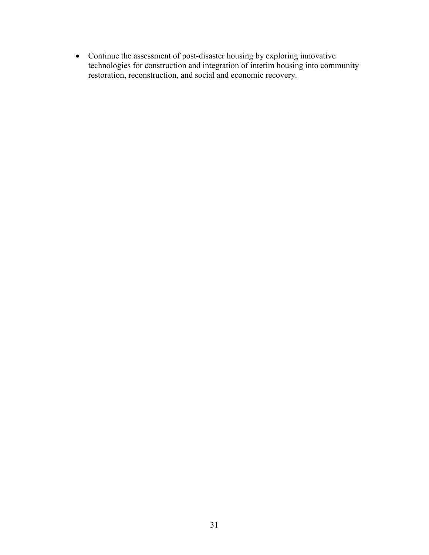• Continue the assessment of post-disaster housing by exploring innovative technologies for construction and integration of interim housing into community restoration, reconstruction, and social and economic recovery.